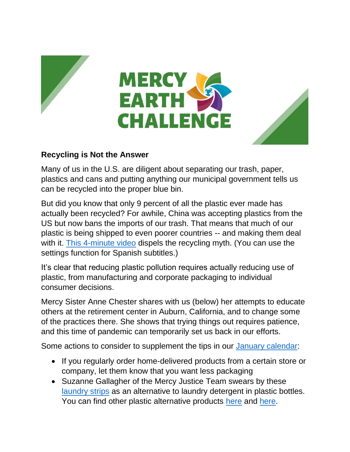



## **Recycling is Not the Answer**

Many of us in the U.S. are diligent about separating our trash, paper, plastics and cans and putting anything our municipal government tells us can be recycled into the proper blue bin.

But did you know that only 9 percent of all the plastic ever made has actually been recycled? For awhile, China was accepting plastics from the US but now bans the imports of our trash. That means that much of our plastic is being shipped to even poorer countries -- and making them deal with it. [This 4-minute video](https://www.storyofstuff.org/movies/plastic/where-your-recycled-plastic-ends-up/) dispels the recycling myth. (You can use the settings function for Spanish subtitles.)

It's clear that reducing plastic pollution requires actually reducing use of plastic, from manufacturing and corporate packaging to individual consumer decisions.

Mercy Sister Anne Chester shares with us (below) her attempts to educate others at the retirement center in Auburn, California, and to change some of the practices there. She shows that trying things out requires patience, and this time of pandemic can temporarily set us back in our efforts.

Some actions to consider to supplement the tips in our [January calendar:](https://www.sistersofmercy.org/get-involved/advocate-for-social-justice/mercy-earth-challenge/plastics-beyond-convenience/)

- If you regularly order home-delivered products from a certain store or company, let them know that you want less packaging
- Suzanne Gallagher of the Mercy Justice Team swears by these [laundry strips](https://www.tru.earth/) as an alternative to laundry detergent in plastic bottles. You can find other plastic alternative products [here](https://lifewithoutplastic.com/) and [here.](https://packagefreeshop.com/)